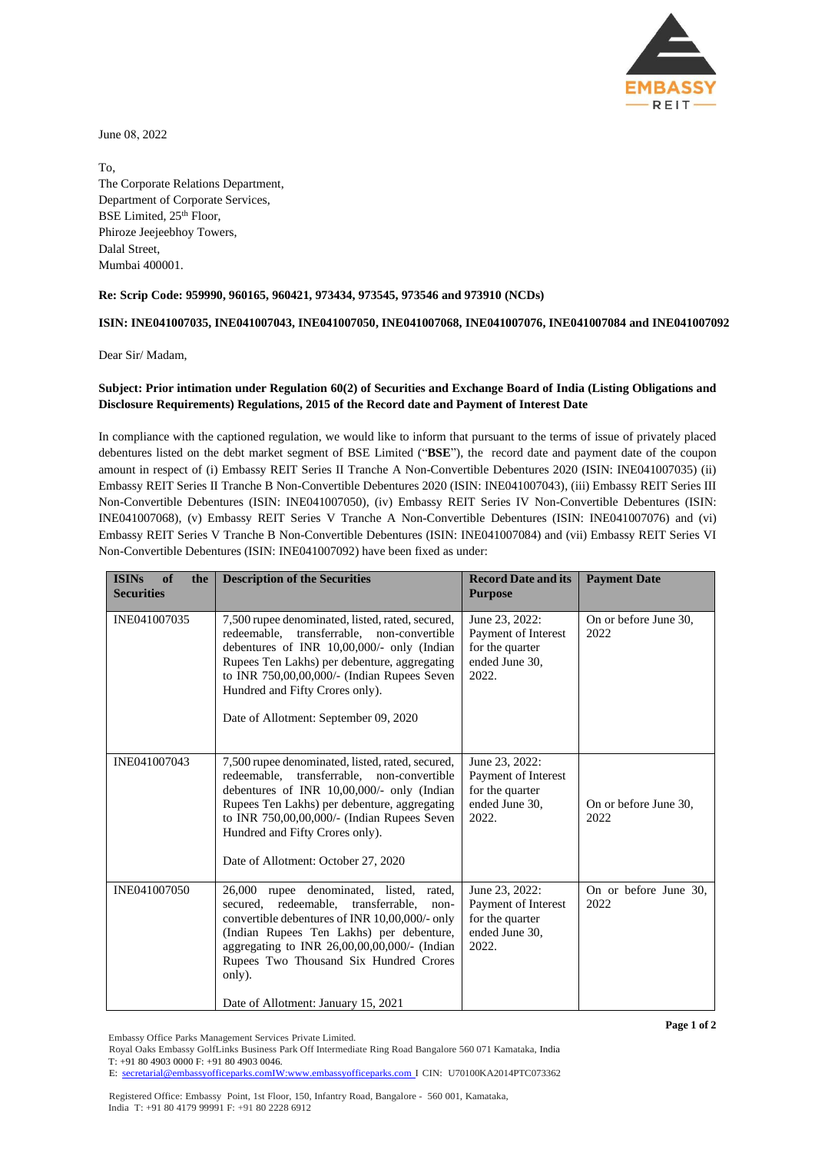

June 08, 2022

To, The Corporate Relations Department, Department of Corporate Services, BSE Limited, 25<sup>th</sup> Floor, Phiroze Jeejeebhoy Towers, Dalal Street, Mumbai 400001.

## **Re: Scrip Code: 959990, 960165, 960421, 973434, 973545, 973546 and 973910 (NCDs)**

## **ISIN: INE041007035, INE041007043, INE041007050, INE041007068, INE041007076, INE041007084 and INE041007092**

Dear Sir/ Madam,

## **Subject: Prior intimation under Regulation 60(2) of Securities and Exchange Board of India (Listing Obligations and Disclosure Requirements) Regulations, 2015 of the Record date and Payment of Interest Date**

In compliance with the captioned regulation, we would like to inform that pursuant to the terms of issue of privately placed debentures listed on the debt market segment of BSE Limited ("**BSE**"), the record date and payment date of the coupon amount in respect of (i) Embassy REIT Series II Tranche A Non-Convertible Debentures 2020 (ISIN: INE041007035) (ii) Embassy REIT Series II Tranche B Non-Convertible Debentures 2020 (ISIN: INE041007043), (iii) Embassy REIT Series III Non-Convertible Debentures (ISIN: INE041007050), (iv) Embassy REIT Series IV Non-Convertible Debentures (ISIN: INE041007068), (v) Embassy REIT Series V Tranche A Non-Convertible Debentures (ISIN: INE041007076) and (vi) Embassy REIT Series V Tranche B Non-Convertible Debentures (ISIN: INE041007084) and (vii) Embassy REIT Series VI Non-Convertible Debentures (ISIN: INE041007092) have been fixed as under:

| <b>ISINs</b><br>of<br>the<br><b>Securities</b> | <b>Description of the Securities</b>                                                                                                                                                                                                                                                                                                | <b>Record Date and its</b><br><b>Purpose</b>                                        | <b>Payment Date</b>           |
|------------------------------------------------|-------------------------------------------------------------------------------------------------------------------------------------------------------------------------------------------------------------------------------------------------------------------------------------------------------------------------------------|-------------------------------------------------------------------------------------|-------------------------------|
| INE041007035                                   | 7,500 rupee denominated, listed, rated, secured,<br>redeemable, transferrable, non-convertible<br>debentures of INR 10,00,000/- only (Indian<br>Rupees Ten Lakhs) per debenture, aggregating<br>to INR 750,00,00,000/- (Indian Rupees Seven<br>Hundred and Fifty Crores only).<br>Date of Allotment: September 09, 2020             | June 23, 2022:<br>Payment of Interest<br>for the quarter<br>ended June 30,<br>2022. | On or before June 30,<br>2022 |
| INE041007043                                   | 7,500 rupee denominated, listed, rated, secured,<br>redeemable, transferrable, non-convertible<br>debentures of INR 10,00,000/- only (Indian<br>Rupees Ten Lakhs) per debenture, aggregating<br>to INR 750,00,00,000/- (Indian Rupees Seven<br>Hundred and Fifty Crores only).<br>Date of Allotment: October 27, 2020               | June 23, 2022:<br>Payment of Interest<br>for the quarter<br>ended June 30.<br>2022. | On or before June 30,<br>2022 |
| INE041007050                                   | 26,000<br>rupee denominated, listed, rated,<br>secured, redeemable, transferrable,<br>non-<br>convertible debentures of INR 10,00,000/- only<br>(Indian Rupees Ten Lakhs) per debenture,<br>aggregating to INR 26,00,00,00,000/- (Indian<br>Rupees Two Thousand Six Hundred Crores<br>only).<br>Date of Allotment: January 15, 2021 | June 23, 2022:<br>Payment of Interest<br>for the quarter<br>ended June 30.<br>2022. | On or before June 30.<br>2022 |

Embassy Office Parks Management Services Private Limited.

Royal Oaks Embassy GolfLinks Business Park Off Intermediate Ring Road Bangalore 560 071 Kamataka, India T: +91 80 4903 0000 F: +91 80 4903 0046.

Registered Office: Embassy Point, 1st Floor, 150, Infantry Road, Bangalore - 560 001, Kamataka, India T: +91 80 4179 99991 F: +91 80 2228 6912

**Page 1 of 2**

E: [secretarial@embassyofficeparks.comIW:www.embassyofficeparks.com](mailto:secretarial@embassyofficeparks.comIW:www.embassyofficeparks.com) I CIN: U70100KA2014PTC073362